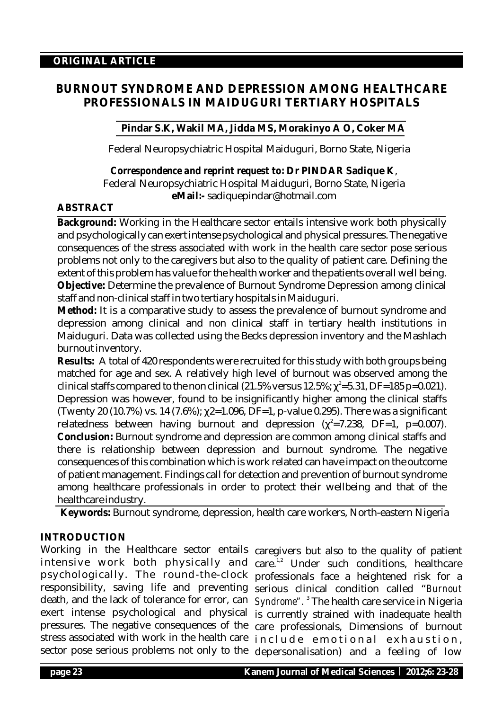# **BURNOUT SYNDROME AND DEPRESSION AMONG HEALTHCARE PROFESSIONALS IN MAIDUGURI TERTIARY HOSPITALS**

# **Pindar S.K, Wakil MA, Jidda MS, Morakinyo A O, Coker MA**

Federal Neuropsychiatric Hospital Maiduguri, Borno State, Nigeria

*Correspondence and reprint request to:* **Dr PINDAR Sadique K**, Federal Neuropsychiatric Hospital Maiduguri, Borno State, Nigeria **eMail:-** sadiquepindar@hotmail.com

# **ABSTRACT**

**Background:** Working in the Healthcare sector entails intensive work both physically and psychologically can exert intense psychological and physical pressures. The negative consequences of the stress associated with work in the health care sector pose serious problems not only to the caregivers but also to the quality of patient care. Defining the extent of this problem has value for the health worker and the patients overall well being. **Objective:** Determine the prevalence of Burnout Syndrome Depression among clinical staff and non-clinical staff in two tertiary hospitals in Maiduguri.

**Method:** It is a comparative study to assess the prevalence of burnout syndrome and depression among clinical and non clinical staff in tertiary health institutions in Maiduguri. Data was collected using the Becks depression inventory and the Mashlach burnout inventory.

**Results:** A total of 420 respondents were recruited for this study with both groups being matched for age and sex. A relatively high level of burnout was observed among the clinical staffs compared to the non clinical (21.5% versus 12.5%;  $e^2 = 5.31$ , DF=185 p=0.021). Depression was however, found to be insignificantly higher among the clinical staffs (Twenty 20 (10.7%) vs. 14 (7.6%);  $2=1.096$ , DF=1, p-value 0.295). There was a significant relatedness between having burnout and depression ( $^{2}$ =7.238, DF=1, p=0.007). **Conclusion:** Burnout syndrome and depression are common among clinical staffs and there is relationship between depression and burnout syndrome. The negative consequences of this combination which is work related can have impact on the outcome of patient management. Findings call for detection and prevention of burnout syndrome among healthcare professionals in order to protect their wellbeing and that of the healthcare industry.

**Keywords:** Burnout syndrome, depression, health care workers, North-eastern Nigeria

# **INTRODUCTION**

Working in the Healthcare sector entails caregivers but also to the quality of patient intensive work both physically and care.<sup>1,2</sup> Under such conditions, healthcare psychologically. The round-the-clock professionals face a heightened risk for a responsibility, saving life and preventing serious clinical condition called "*Burnout* death, and the lack of tolerance for error, can exert intense psychological and physical pressures. The negative consequences of the care professionals, Dimensions of burnout stress associated with work in the health care  $\,$  include  $\,$  e motional  $\,$  e x h a ustion,

sector pose serious problems not only to the depersonalisation) and a feeling of low Syndrome".<sup>3</sup> The health care service in Nigeria is currently strained with inadequate health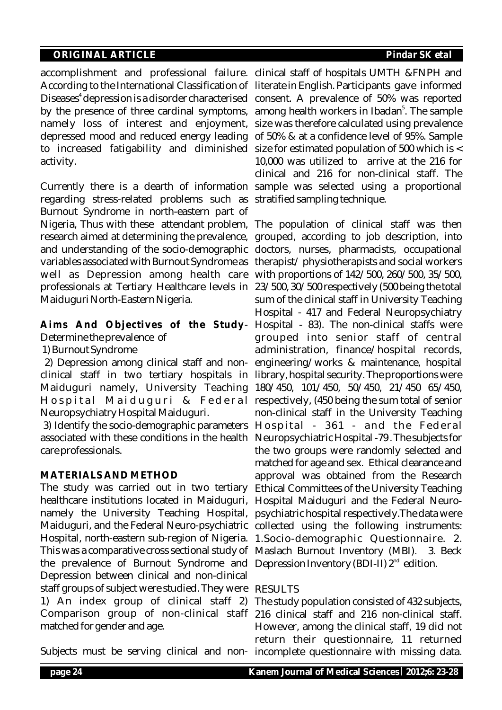accomplishment and professional failure. clinical staff of hospitals UMTH &FNPH and According to the International Classification of literate in English. Participants gave informed Diseases<sup>4</sup> depression is a disorder characterised consent. A prevalence of 50% was reported by the presence of three cardinal symptoms, among health workers in Ibadan<sup>5</sup>. The sample namely loss of interest and enjoyment, size was therefore calculated using prevalence depressed mood and reduced energy leading of 50% & at a confidence level of 95%. Sample to increased fatigability and diminished size for estimated population of 500 which is < activity.

Currently there is a dearth of information sample was selected using a proportional regarding stress-related problems such as stratified sampling technique. Burnout Syndrome in north-eastern part of Nigeria, Thus with these attendant problem, The population of clinical staff was then research aimed at determining the prevalence, grouped, according to job description, into and understanding of the socio-demographic doctors, nurses, pharmacists, occupational variables associated with Burnout Syndrome as  $\,$  therapist/  $\,$  physiotherapists and social workers  $\,$ well as Depression among health care with proportions of 142/500, 260/500, 35/500, professionals at Tertiary Healthcare levels in 23/500, 30/500 respectively (500 being the total Maiduguri North-Eastern Nigeria.

**Aims And Objectives of the Study**-Hospital - 83). The non-clinical staffs were Determine the prevalence of

1) Burnout Syndrome

clinical staff in two tertiary hospitals in library, hospital security. The proportions were Maiduguri namely, University Teaching 180/450, 101/450, 50/450, 21/450 65/450, Hospital Maiduguri & Federal respectively, (450 being the sum total of senior Neuropsychiatry Hospital Maiduguri.

3) Identify the socio-demographic parameters  $\rm\,H\,ospital$  - 361 - and the Federal associated with these conditions in the health Neuropsychiatric Hospital -79 . The subjects for care professionals.

#### **MATERIALS AND METHOD**

The study was carried out in two tertiary healthcare institutions located in Maiduguri, namely the University Teaching Hospital, Maiduguri, and the Federal Neuro-psychiatric collected using the following instruments: Hospital, north-eastern sub-region of Nigeria. This was a comparative cross sectional study of Maslach Burnout Inventory (MBI). 3. Beck the prevalence of Burnout Syndrome and Depression Inventory (BDI-II)  $2^{\text{nd}}$  edition. Depression between clinical and non-clinical staff groups of subject were studied. They were RESULTS 1) An index group of clinical staff 2) The study population consisted of 432 subjects, Comparison group of non-clinical staff 216 clinical staff and 216 non-clinical staff. matched for gender and age.

10,000 was utilized to arrive at the 216 for clinical and 216 for non-clinical staff. The

2) Depression among clinical staff and non-engineering/works & maintenance, hospital sum of the clinical staff in University Teaching Hospital - 417 and Federal Neuropsychiatry grouped into senior staff of central administration, finance/hospital records, non-clinical staff in the University Teaching the two groups were randomly selected and matched for age and sex. Ethical clearance and approval was obtained from the Research Ethical Committees of the University Teaching Hospital Maiduguri and the Federal Neuropsychiatric hospital respectively.The data were 1.Socio-demographic Questionnaire. 2.

Subjects must be serving clinical and non-incomplete questionnaire with missing data. However, among the clinical staff, 19 did not return their questionnaire, 11 returned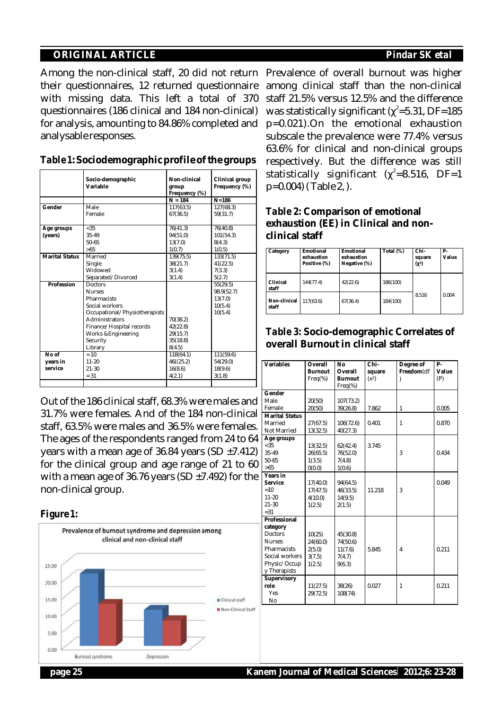Among the non-clinical staff, 20 did not return Prevalence of overall burnout was higher their questionnaires, 12 returned questionnaire with missing data. This left a total of 370 questionnaires (186 clinical and 184 non-clinical) for analysis, amounting to 84.86% completed and analysable responses.

|                | Socio-demographic<br>Variable | Non-clinical<br>group<br>Frequency (%)<br>$N = 184$ | Clinical group<br>Frequency (%)<br>$N = 186$ |
|----------------|-------------------------------|-----------------------------------------------------|----------------------------------------------|
| Gender         | Male                          | 117(63.5)                                           | 127(68.3)                                    |
|                | Female                        | 67(36.5)                                            | 59(31.7)                                     |
|                |                               |                                                     |                                              |
| Age groups     | $<$ 35                        | 76(41.3)                                            | 76(40.8)                                     |
| (years)        | 35-49                         | 94(51.0)                                            | 101(54.3)                                    |
|                | $50 - 65$                     | 13(7.0)                                             | 8(4.3)                                       |
|                | >65                           | 1(0.7)                                              | 1(0.5)                                       |
| Marital Status | Married                       | 139(75.5)                                           | 133(71.5)                                    |
|                | Single                        | 38(21.7)                                            | 41(22.5)                                     |
|                | Widowed                       | 3(1.4)                                              | 7(3.3)                                       |
|                | Separated/Divorced            | 3(1.4)                                              | 5(2.7)                                       |
| Profession     | <b>Doctors</b>                |                                                     | 55(29.5)                                     |
|                | <b>Nurses</b>                 |                                                     | 98.9(52.7)                                   |
|                | Pharmacists                   |                                                     | 13(7.0)                                      |
|                | Social workers                |                                                     | 10(5.4)                                      |
|                | Occupational/Physiotherapists |                                                     | 10(5.4)                                      |
|                | <b>Administrators</b>         | 70(38.2)                                            |                                              |
|                | Finance/Hospital records      | 42(22.8)                                            |                                              |
|                | Works & Engineering           | 29(15.7)                                            |                                              |
|                | Security                      | 35(18.8)                                            |                                              |
|                | Library                       | 8(4.5)                                              |                                              |
| No of          | $=10$                         | 118(64.1)                                           | 111(59.6)                                    |
| years in       | $11 - 20$                     | 46((25.2)                                           | 54(29.0)                                     |
| service        | $21 - 30$                     | 16(8.6)                                             | 18(9.6)                                      |
|                | $= 31$                        | 4(2.1)                                              | 3(1.8)                                       |
|                |                               |                                                     |                                              |

#### *Table 1***: Sociodemographic profile of the groups**

Out of the 186 clinical staff, 68.3% were males and 31.7% were females. And of the 184 non-clinical staff, 63.5% were males and 36.5% were females. The ages of the respondents ranged from 24 to 64 years with a mean age of 36.84 years (SD  $\pm$ 7.412) for the clinical group and age range of 21 to 60 with a mean age of 36.76 years (SD  $\pm$ 7.492) for the non-clinical group.





among clinical staff than the non-clinical staff 21.5% versus 12.5% and the difference was statistically significant ( $^2$ =5.31, DF=185 p=0.021).On the emotional exhaustion subscale the prevalence were 77.4% versus 63.6% for clinical and non-clinical groups respectively. But the difference was still statistically significant (  $^{2}$ =8.516, DF=1 p=0.004) ( Table 2, ).

# *Table 2:* **Comparison of emotional exhaustion (EE) in Clinical and nonclinical staff**

| Category              | Emotional<br>exhaustion<br>Positive (%) | Emotional<br>exhaustion<br>Negative (%) | Total (%) | Chi-<br>square<br>(2) | Р-<br>Value |
|-----------------------|-----------------------------------------|-----------------------------------------|-----------|-----------------------|-------------|
| Clinical<br>staff     | 144(77.4)                               | 42(22.6)                                | 186(100)  |                       |             |
| Non-clinical<br>staff | 117(63.6)                               | 67(36.4)                                | 184(100)  | 8.516                 | 0.004       |

# *Table 3:* **Socio-demographic Correlates of overall Burnout in clinical staff**

| Variables             | Overall        | No        | Chi-    | Degree of    | $P -$ |
|-----------------------|----------------|-----------|---------|--------------|-------|
|                       | <b>Burnout</b> | Overall   | square  | Freedom(df   | Value |
|                       | $Freq$ %)      | Burnout   | $(x^2)$ | )            | (P)   |
|                       |                | $Freq$ %) |         |              |       |
| Gender                |                |           |         |              |       |
| Male                  | 20(50)         | 107(73.2) |         |              |       |
| Female                | 20(50)         | 39(26.8)  | 7.862   | $\mathbf{1}$ | 0.005 |
| <b>Marital Status</b> |                |           |         |              |       |
| Married               | 27(67.5)       | 106(72.6) | 0.401   | 1            | 0.870 |
| Not Married           | 13(32.5)       | 40(27.3)  |         |              |       |
| Age groups            |                |           |         |              |       |
| < 35                  | 13(32.5)       | 62(42.4)  | 3.745   |              |       |
| 35-49                 | 26(65.5)       | 76(52.0)  |         | 3            | 0.434 |
| $50 - 65$             | 1(3.5)         | 7(4.8)    |         |              |       |
| >65                   | 0(0.0)         | 1(0.6)    |         |              |       |
| Years in              |                |           |         |              |       |
| Service               | 17(40.0)       | 94(64.5)  |         |              | 0.049 |
| $=10$                 | 17(47.5)       | 46(33.5)  | 11.218  | 3            |       |
| $11 - 20$             | 4(10.0)        | 14(9.5)   |         |              |       |
| $21 - 30$             | 1(2.5)         | 2(1.5)    |         |              |       |
| $= 31$                |                |           |         |              |       |
| Professional          |                |           |         |              |       |
| category              |                |           |         |              |       |
| <b>Doctors</b>        | 10(25)         | 45(30.8)  |         |              |       |
| <b>Nurses</b>         | 24(60.0)       | 74(50.6)  |         |              |       |
| Pharmacists           | 2(5.0)         | 11(7.6)   | 5.845   | 4            | 0.211 |
| Social workers        | 3(7.5)         | 7(4.7)    |         |              |       |
| Physic/Occup          | 1(2.5)         | 9(6.3)    |         |              |       |
| v Therapists          |                |           |         |              |       |
| Supervisory           |                |           |         |              |       |
| role                  | 11(27.5)       | 38(26)    | 0.027   | 1            | 0.211 |
| Yes                   | 29(72.5)       | 108(74)   |         |              |       |
| No                    |                |           |         |              |       |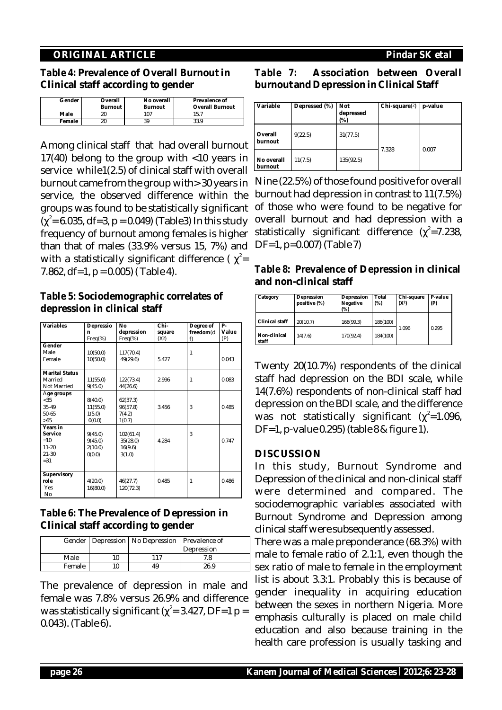*Table 4:* **Prevalence of Overall Burnout in Clinical staff according to gender**

| Gender | Overall | No overall | Prevalence of          |
|--------|---------|------------|------------------------|
|        | Burnout | Burnout    | <b>Overall Burnout</b> |
| Male   |         | 107        | 15.7                   |
| Female |         | 39         | 33.9                   |

Among clinical staff that had overall burnout 17(40) belong to the group with <10 years in service while1(2.5) of clinical staff with overall burnout came from the group with> 30 years in Nine (22.5%) of those found positive for overall service, the observed difference within the groups was found to be statistically significant  $($   $^2$  = 6.035, df=3, p = 0.049) (Table3) In this study frequency of burnout among females is higher than that of males (33.9% versus 15, 7%) and with a statistically significant difference  $\int_{0}^{2}$ = 7.862, df=1,  $p = 0.005$ ) (Table 4).

*Table 5:* **Sociodemographic correlates of depression in clinical staff**

| Variables             | Depressio | No         | Chi-    | Degree of    | P-    |
|-----------------------|-----------|------------|---------|--------------|-------|
|                       | n         | depression | square  | freedom(d    | Value |
|                       | $Freq$ %) | $Freq$ %)  | $(X^2)$ | f)           | (P)   |
| Gender                |           |            |         |              |       |
| Male                  | 10(50.0)  | 117(70.4)  |         | $\mathbf{1}$ |       |
| Female                | 10(50.0)  | 49(29.6)   | 5.427   |              | 0.043 |
|                       |           |            |         |              |       |
| <b>Marital Status</b> |           |            |         |              |       |
| Married               | 11(55.0)  | 122(73.4)  | 2.996   | $\mathbf{1}$ | 0.083 |
| Not Married           | 9(45.0)   | 44(26.6)   |         |              |       |
| Age groups            |           |            |         |              |       |
| < 35                  | 8(40.0)   | 62(37.3)   |         |              |       |
| 35-49                 | 11(55.0)  | 96(57.8)   | 3.456   | 3            | 0.485 |
| $50 - 65$             | 1(5.0)    | 7(4.2)     |         |              |       |
| >65                   | 0(0.0)    | 1(0.7)     |         |              |       |
| Years in              |           |            |         |              |       |
| Service               | 9(45.0)   | 102(61.4)  |         | 3            |       |
| $=10$                 | 9(45.0)   | 35(28.0)   | 4.284   |              | 0.747 |
| $11 - 20$             | 2(10.0)   | 16(9.6)    |         |              |       |
| $21 - 30$             | 0(0.0)    | 3(1.0)     |         |              |       |
| $= 31$                |           |            |         |              |       |
|                       |           |            |         |              |       |
| Supervisory           |           |            |         |              |       |
| role                  | 4(20.0)   | 46(27.7)   | 0.485   | $\mathbf{1}$ | 0.486 |
| Yes                   | 16(80.0)  | 120(72.3)  |         |              |       |
| No                    |           |            |         |              |       |

# *Table 6:* **The Prevalence of Depression in Clinical staff according to gender**

|        | Gender   Depression   No Depression   Prevalence of |            |
|--------|-----------------------------------------------------|------------|
|        |                                                     | Depression |
| Male   | 117                                                 | 7.8        |
| Female | 49                                                  | 26.9       |

The prevalence of depression in male and female was 7.8% versus 26.9% and difference was statistically significant ( $^2$  = 3.427, DF=1 p = 0.043). (Table 6).

# *Table 7:* **Association between Overall burnout and Depression in Clinical Staff**

| Variable              | Depressed (%) | Not<br>depressed<br>$(\%)$ | $Chi-square(2)$ | p-value |
|-----------------------|---------------|----------------------------|-----------------|---------|
| Overall<br>burnout    | 9(22.5)       | 31(77.5)                   |                 |         |
| No overall<br>burnout | 11(7.5)       | 135(92.5)                  | 7.328           | 0.007   |

burnout had depression in contrast to 11(7.5%) of those who were found to be negative for overall burnout and had depression with a statistically significant difference  $(2=7.238,$ DF=1, p=0.007) (Table 7)

*Table 8:* **Prevalence of Depression in clinical and non-clinical staff**

| Category              | Depression<br>positive (%) | Depression<br>Negative<br>(%) | Total<br>(% ) | Chi-square<br>$(X^2)$ | P-value<br>(P) |
|-----------------------|----------------------------|-------------------------------|---------------|-----------------------|----------------|
| Clinical staff        | 20(10.7)                   | 166(99.3)                     | 186(100)      |                       |                |
| Non-clinical<br>staff | 14(7.6)                    | 170(92.4)                     | 184(100)      | 1.096                 | 0.295          |

Twenty 20(10.7%) respondents of the clinical staff had depression on the BDI scale, while 14(7.6%) respondents of non-clinical staff had depression on the BDI scale, and the difference was not statistically significant ( $^{2}$ =1.096, DF=1, p-value 0.295) (table 8 & figure 1).

#### **DISCUSSION**

In this study, Burnout Syndrome and Depression of the clinical and non-clinical staff were determined and compared. The sociodemographic variables associated with Burnout Syndrome and Depression among clinical staff were subsequently assessed.

There was a male preponderance (68.3%) with male to female ratio of 2.1:1, even though the sex ratio of male to female in the employment list is about 3.3:1. Probably this is because of gender inequality in acquiring education between the sexes in northern Nigeria. More emphasis culturally is placed on male child education and also because training in the health care profession is usually tasking and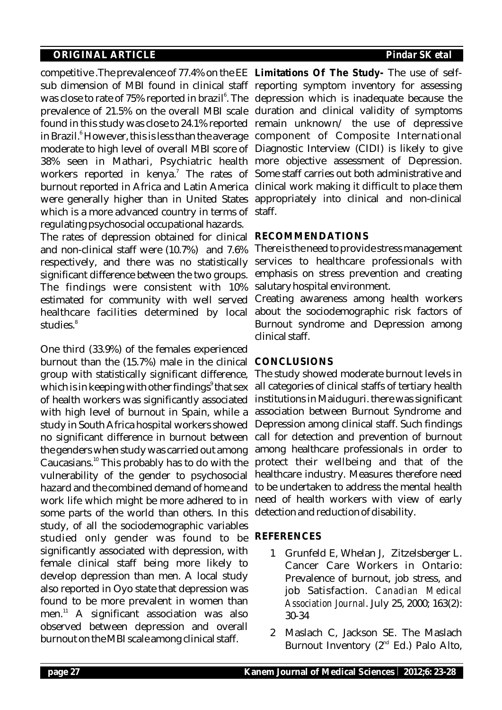competitive .The prevalence of 77.4% on the EE **Limitations Of The Study-** The use of selfsub dimension of MBI found in clinical staff reporting symptom inventory for assessing was close to rate of 75% reported in brazil<sup>6</sup>. The depression which is inadequate because the prevalence of 21.5% on the overall MBI scale duration and clinical validity of symptoms found in this study was close to 24.1% reported  $\,$  remain  $\,$  unknown $\,/\,$  the  $\,$  use  $\,$  of  $\,$  depressive in Brazil.<sup>6</sup> However, this is less than the average component of Composite International moderate to high level of overall MBI score of Diagnostic Interview (CIDI) is likely to give 38% seen in Mathari, Psychiatric health more objective assessment of Depression. workers reported in kenya.<sup>7</sup> The rates of Some-staff-carries-out-both-administrative-andburnout reported in Africa and Latin America clinical work making it difficult to place them were generally higher than in United States appropriately into clinical and non-clinical which is a more advanced country in terms of staff. regulating psychosocial occupational hazards.

The rates of depression obtained for clinical and non-clinical staff were (10.7%) and 7.6% respectively, and there was no statistically significant difference between the two groups. The findings were consistent with 10% estimated for community with well served healthcare facilities determined by local 8 studies.

One third (33.9%) of the females experienced burnout than the (15.7%) male in the clinical **CONCLUSIONS** group with statistically significant difference, which is in keeping with other findings<sup>9</sup> that sex of health workers was significantly associated with high level of burnout in Spain, while a study in South Africa hospital workers showed no significant difference in burnout between the genders when study was carried out among Caucasians. $10$  This probably has to do with the vulnerability of the gender to psychosocial hazard and the combined demand of home and work life which might be more adhered to in need of health workers with view of early some parts of the world than others. In this study, of all the sociodemographic variables studied only gender was found to be significantly associated with depression, with female clinical staff being more likely to develop depression than men. A local study also reported in Oyo state that depression was found to be more prevalent in women than men. $11$  A significant association was also observed between depression and overall burnout on the MBI scale among clinical staff.

# **RECOMMENDATIONS**

There is the need to provide stress management services to healthcare professionals with emphasis on stress prevention and creating salutary hospital environment.

Creating awareness among health workers about the sociodemographic risk factors of Burnout syndrome and Depression among clinical staff.

The study showed moderate burnout levels in all categories of clinical staffs of tertiary health institutions in Maiduguri. there was significant association between Burnout Syndrome and Depression among clinical staff. Such findings call for detection and prevention of burnout among healthcare professionals in order to protect their wellbeing and that of the healthcare industry. Measures therefore need to be undertaken to address the mental health detection and reduction of disability.

# **REFERENCES**

- 1 Grunfeld E, Whelan J, Zitzelsberger L. Cancer Care Workers in Ontario: Prevalence of burnout, job stress, and job Satisfaction. *Canadian Medical Association Journal*. July 25, 2000; 163(2): 30-34
- 2 Maslach C, Jackson SE. The Maslach Burnout Inventory  $(2<sup>nd</sup> Ed.)$  Palo Alto,